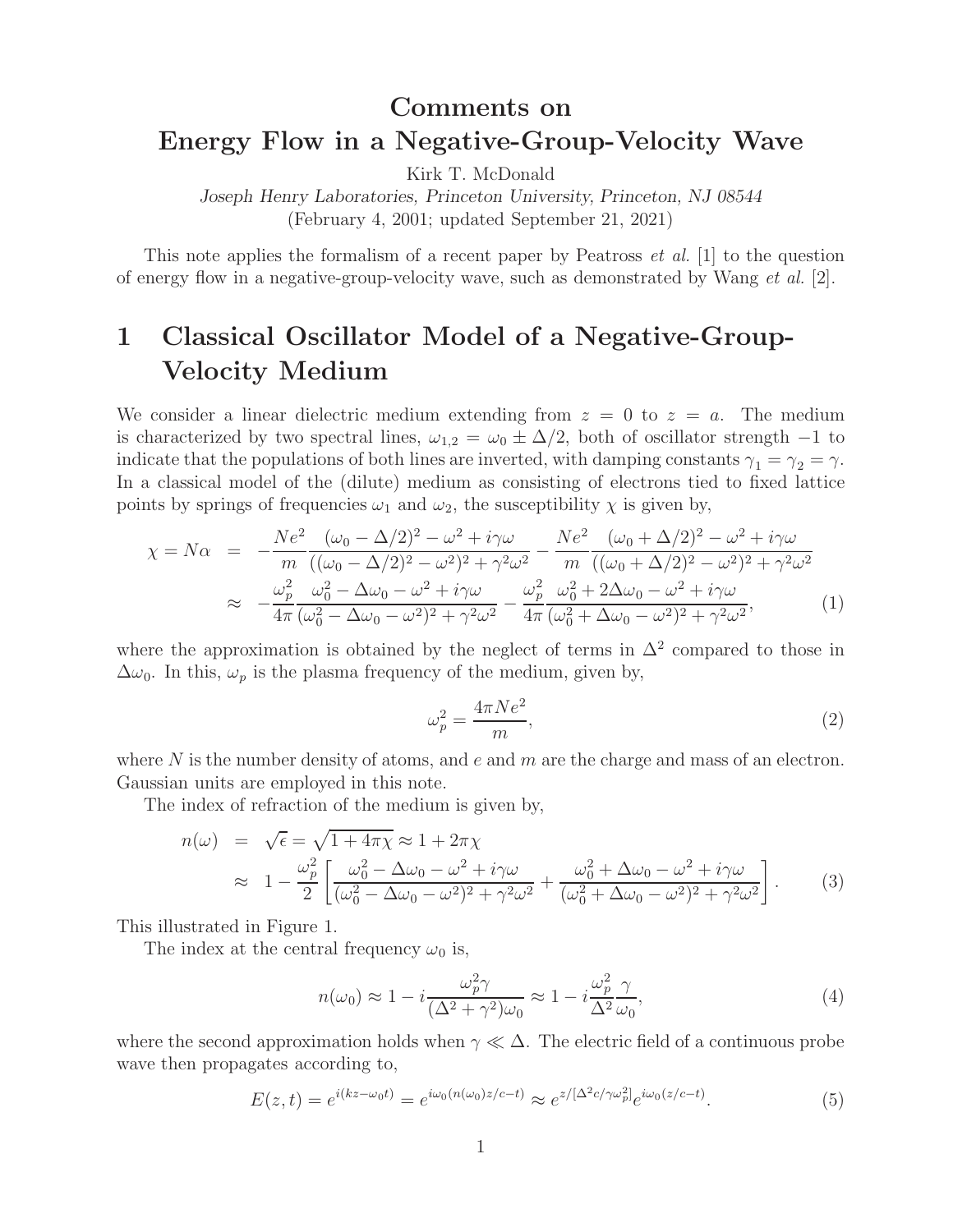## **Comments on Energy Flow in a Negative-Group-Velocity Wave**

Kirk T. McDonald

*Joseph Henry Laboratories, Princeton University, Princeton, NJ 08544* (February 4, 2001; updated September 21, 2021)

This note applies the formalism of a recent paper by Peatross *et al.* [1] to the question of energy flow in a negative-group-velocity wave, such as demonstrated by Wang *et al.* [2].

# **1 Classical Oscillator Model of a Negative-Group-Velocity Medium**

We consider a linear dielectric medium extending from  $z = 0$  to  $z = a$ . The medium is characterized by two spectral lines,  $\omega_{1,2} = \omega_0 \pm \Delta/2$ , both of oscillator strength -1 to indicate that the populations of both lines are inverted, with damping constants  $\gamma_1 = \gamma_2 = \gamma$ . In a classical model of the (dilute) medium as consisting of electrons tied to fixed lattice points by springs of frequencies  $\omega_1$  and  $\omega_2$ , the susceptibility  $\chi$  is given by,

$$
\chi = N\alpha = -\frac{Ne^2}{m} \frac{(\omega_0 - \Delta/2)^2 - \omega^2 + i\gamma\omega}{((\omega_0 - \Delta/2)^2 - \omega^2)^2 + \gamma^2\omega^2} - \frac{Ne^2}{m} \frac{(\omega_0 + \Delta/2)^2 - \omega^2 + i\gamma\omega}{((\omega_0 + \Delta/2)^2 - \omega^2)^2 + \gamma^2\omega^2} \n\approx -\frac{\omega_p^2}{4\pi} \frac{\omega_0^2 - \Delta\omega_0 - \omega^2 + i\gamma\omega}{(\omega_0^2 - \Delta\omega_0 - \omega^2)^2 + \gamma^2\omega^2} - \frac{\omega_p^2}{4\pi} \frac{\omega_0^2 + 2\Delta\omega_0 - \omega^2 + i\gamma\omega}{(\omega_0^2 + \Delta\omega_0 - \omega^2)^2 + \gamma^2\omega^2},
$$
\n(1)

where the approximation is obtained by the neglect of terms in  $\Delta^2$  compared to those in  $\Delta\omega_0$ . In this,  $\omega_p$  is the plasma frequency of the medium, given by,

$$
\omega_p^2 = \frac{4\pi Ne^2}{m},\tag{2}
$$

where  $N$  is the number density of atoms, and  $e$  and  $m$  are the charge and mass of an electron. Gaussian units are employed in this note.

The index of refraction of the medium is given by,

$$
n(\omega) = \sqrt{\epsilon} = \sqrt{1 + 4\pi\chi} \approx 1 + 2\pi\chi
$$
  
\n
$$
\approx 1 - \frac{\omega_p^2}{2} \left[ \frac{\omega_0^2 - \Delta\omega_0 - \omega^2 + i\gamma\omega}{(\omega_0^2 - \Delta\omega_0 - \omega^2)^2 + \gamma^2\omega^2} + \frac{\omega_0^2 + \Delta\omega_0 - \omega^2 + i\gamma\omega}{(\omega_0^2 + \Delta\omega_0 - \omega^2)^2 + \gamma^2\omega^2} \right].
$$
 (3)

This illustrated in Figure 1.

The index at the central frequency  $\omega_0$  is,

$$
n(\omega_0) \approx 1 - i \frac{\omega_p^2 \gamma}{(\Delta^2 + \gamma^2)\omega_0} \approx 1 - i \frac{\omega_p^2}{\Delta^2} \frac{\gamma}{\omega_0},\tag{4}
$$

where the second approximation holds when  $\gamma \ll \Delta$ . The electric field of a continuous probe wave then propagates according to,

$$
E(z,t) = e^{i(kz - \omega_0 t)} = e^{i\omega_0 (n(\omega_0)z/c - t)} \approx e^{z/[\Delta^2 c/\gamma \omega_p^2]} e^{i\omega_0 (z/c - t)}.
$$
\n(5)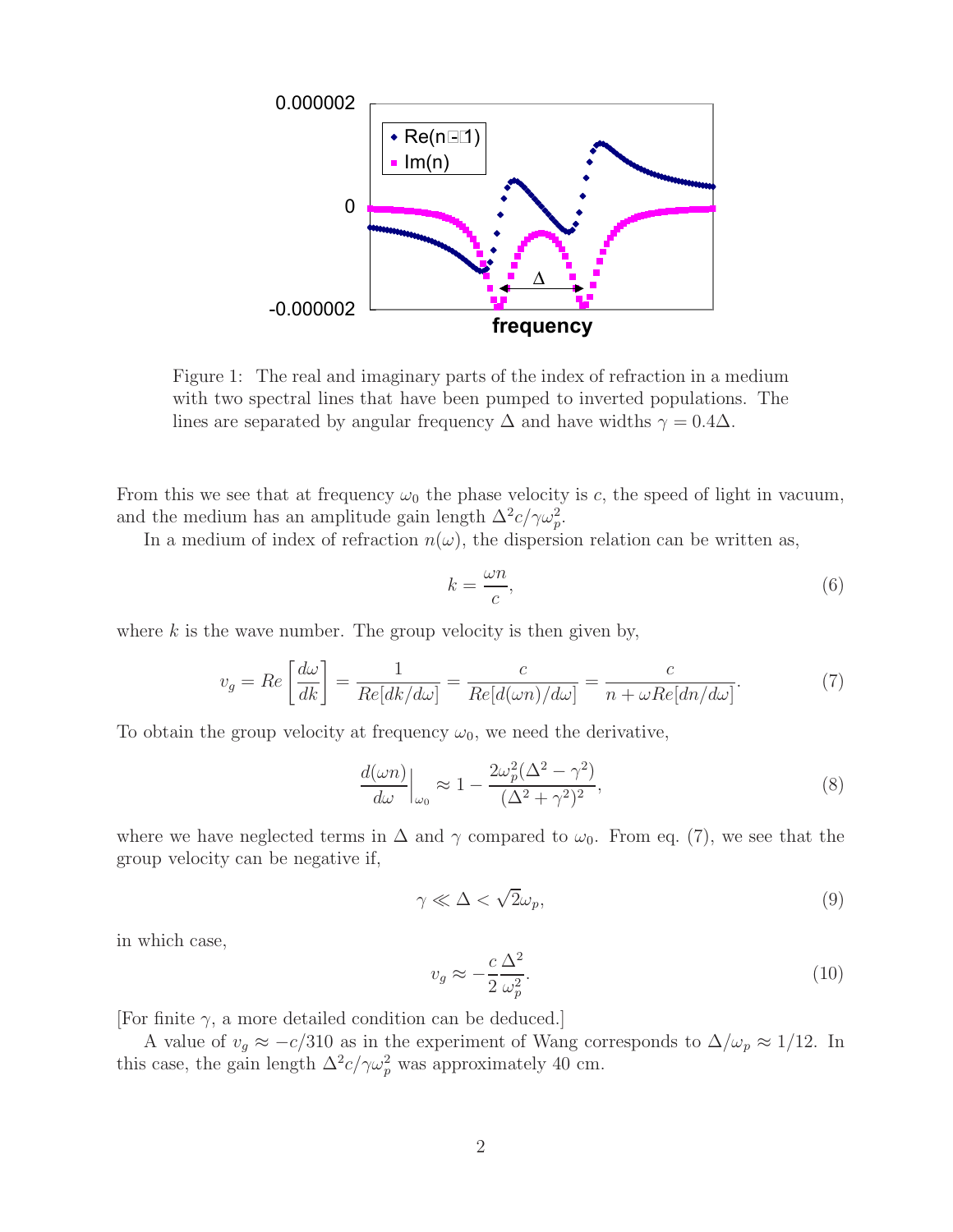

Figure 1: The real and imaginary parts of the index of refraction in a medium with two spectral lines that have been pumped to inverted populations. The lines are separated by angular frequency  $\Delta$  and have widths  $\gamma = 0.4\Delta$ .

From this we see that at frequency  $\omega_0$  the phase velocity is c, the speed of light in vacuum, and the medium has an amplitude gain length  $\Delta^2 c / \gamma \omega_p^2$ .<br>In a modium of index of refrection  $p(x)$ , the dispersi-

In a medium of index of refraction  $n(\omega)$ , the dispersion relation can be written as,

$$
k = \frac{\omega n}{c},\tag{6}
$$

where  $k$  is the wave number. The group velocity is then given by,

$$
v_g = Re\left[\frac{d\omega}{dk}\right] = \frac{1}{Re[dk/d\omega]} = \frac{c}{Re[d(\omega n)/d\omega]} = \frac{c}{n + \omega Re[dn/d\omega]}.
$$
 (7)

To obtain the group velocity at frequency  $\omega_0$ , we need the derivative,

$$
\left. \frac{d(\omega n)}{d\omega} \right|_{\omega_0} \approx 1 - \frac{2\omega_p^2 (\Delta^2 - \gamma^2)}{(\Delta^2 + \gamma^2)^2},\tag{8}
$$

where we have neglected terms in  $\Delta$  and  $\gamma$  compared to  $\omega_0$ . From eq. (7), we see that the group velocity can be negative if,

$$
\gamma \ll \Delta < \sqrt{2}\omega_p,\tag{9}
$$

in which case,

$$
v_g \approx -\frac{c}{2} \frac{\Delta^2}{\omega_p^2}.\tag{10}
$$

[For finite  $\gamma$ , a more detailed condition can be deduced.]

A value of  $v_g \approx -c/310$  as in the experiment of Wang corresponds to  $\Delta/\omega_p \approx 1/12$ . In this case, the gain length  $\Delta^2 c / \gamma \omega_p^2$  was approximately 40 cm.

p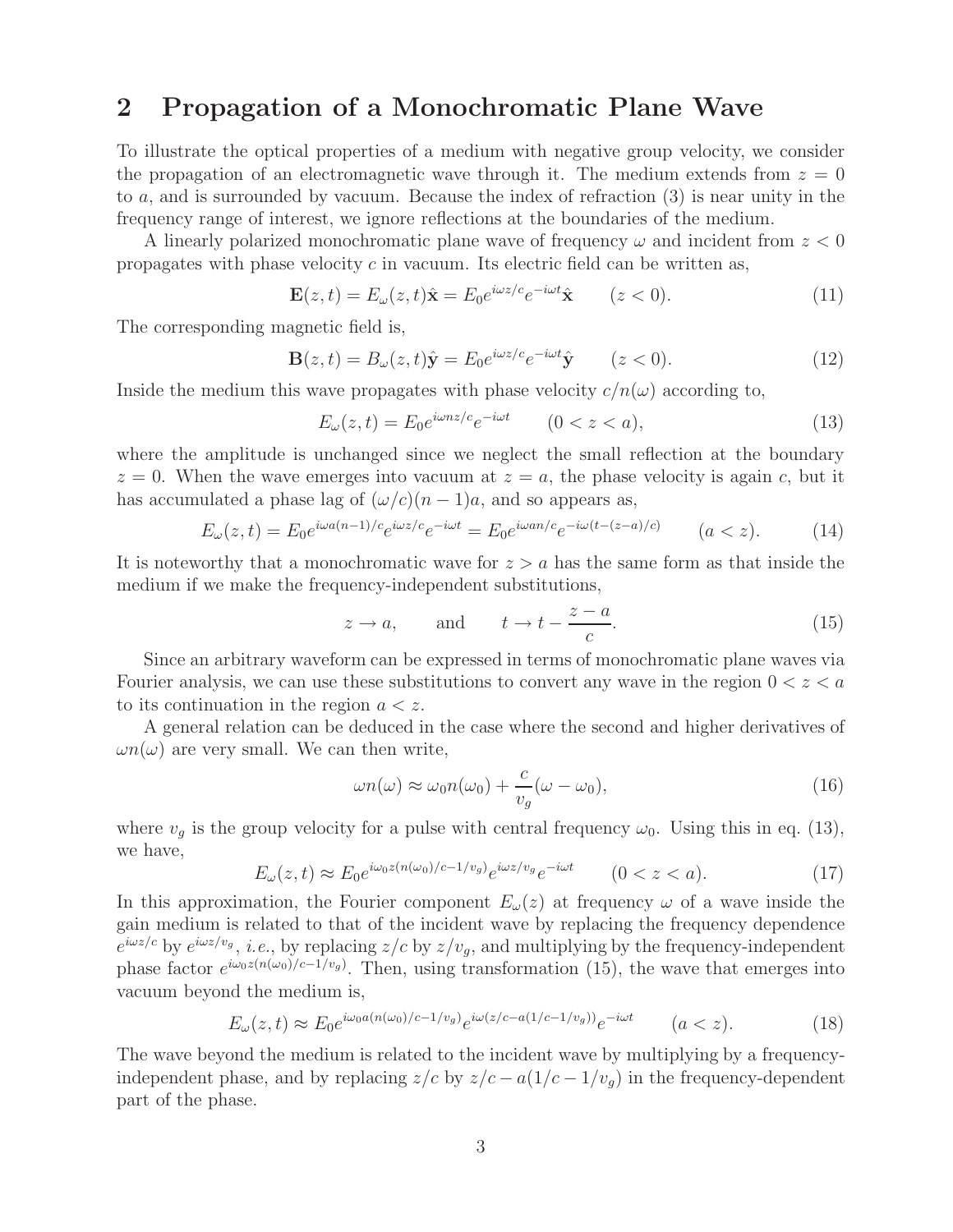## **2 Propagation of a Monochromatic Plane Wave**

To illustrate the optical properties of a medium with negative group velocity, we consider the propagation of an electromagnetic wave through it. The medium extends from  $z = 0$ to a, and is surrounded by vacuum. Because the index of refraction (3) is near unity in the frequency range of interest, we ignore reflections at the boundaries of the medium.

A linearly polarized monochromatic plane wave of frequency  $\omega$  and incident from  $z < 0$ propagates with phase velocity c in vacuum. Its electric field can be written as,

$$
\mathbf{E}(z,t) = E_{\omega}(z,t)\hat{\mathbf{x}} = E_0 e^{i\omega z/c} e^{-i\omega t} \hat{\mathbf{x}} \qquad (z < 0).
$$
 (11)

The corresponding magnetic field is,

$$
\mathbf{B}(z,t) = B_{\omega}(z,t)\hat{\mathbf{y}} = E_0 e^{i\omega z/c} e^{-i\omega t} \hat{\mathbf{y}} \qquad (z < 0). \tag{12}
$$

Inside the medium this wave propagates with phase velocity  $c/n(\omega)$  according to,

$$
E_{\omega}(z,t) = E_0 e^{i\omega nz/c} e^{-i\omega t} \qquad (0 < z < a), \tag{13}
$$

where the amplitude is unchanged since we neglect the small reflection at the boundary  $z = 0$ . When the wave emerges into vacuum at  $z = a$ , the phase velocity is again c, but it has accumulated a phase lag of  $(\omega/c)(n-1)a$ , and so appears as,

$$
E_{\omega}(z,t) = E_0 e^{i\omega a(n-1)/c} e^{i\omega z/c} e^{-i\omega t} = E_0 e^{i\omega a n/c} e^{-i\omega (t-(z-a)/c)} \qquad (a < z). \tag{14}
$$

It is noteworthy that a monochromatic wave for  $z > a$  has the same form as that inside the medium if we make the frequency-independent substitutions,

$$
z \to a
$$
, and  $t \to t - \frac{z - a}{c}$ . (15)

Since an arbitrary waveform can be expressed in terms of monochromatic plane waves via Fourier analysis, we can use these substitutions to convert any wave in the region  $0 < z < a$ to its continuation in the region  $a < z$ .

A general relation can be deduced in the case where the second and higher derivatives of  $\omega n(\omega)$  are very small. We can then write,

$$
\omega n(\omega) \approx \omega_0 n(\omega_0) + \frac{c}{v_g} (\omega - \omega_0), \qquad (16)
$$

where  $v<sub>g</sub>$  is the group velocity for a pulse with central frequency  $\omega_0$ . Using this in eq. (13), we have,

$$
E_{\omega}(z,t) \approx E_0 e^{i\omega_0 z (n(\omega_0)/c - 1/v_g)} e^{i\omega z/v_g} e^{-i\omega t} \qquad (0 < z < a). \tag{17}
$$

In this approximation, the Fourier component  $E_{\omega}(z)$  at frequency  $\omega$  of a wave inside the gain medium is related to that of the incident wave by replacing the frequency dependence  $e^{i\omega z/c}$  by  $e^{i\omega z/v_g}$ , *i.e.*, by replacing  $z/c$  by  $z/v_g$ , and multiplying by the frequency-independent phase factor  $e^{i\omega_0 z(n(\omega_0)/c-1/v_g)}$ . Then, using transformation (15), the wave that emerges into vacuum beyond the medium is,

$$
E_{\omega}(z,t) \approx E_0 e^{i\omega_0 a(n(\omega_0)/c - 1/v_g)} e^{i\omega(z/c - a(1/c - 1/v_g))} e^{-i\omega t} \qquad (a < z). \tag{18}
$$

The wave beyond the medium is related to the incident wave by multiplying by a frequencyindependent phase, and by replacing  $z/c$  by  $z/c - a(1/c - 1/v_q)$  in the frequency-dependent part of the phase.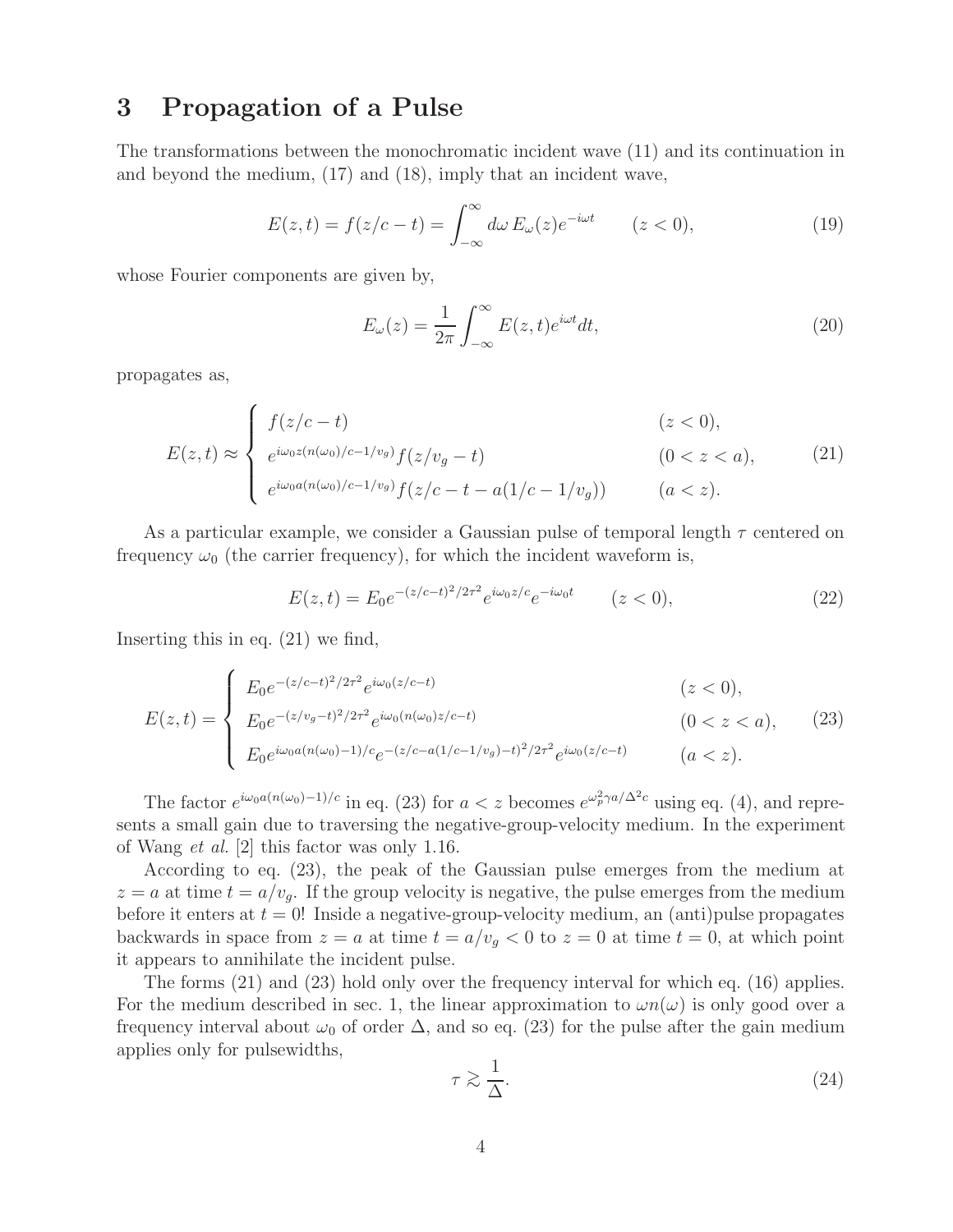## **3 Propagation of a Pulse**

The transformations between the monochromatic incident wave (11) and its continuation in and beyond the medium, (17) and (18), imply that an incident wave,

$$
E(z,t) = f(z/c - t) = \int_{-\infty}^{\infty} d\omega E_{\omega}(z)e^{-i\omega t} \qquad (z < 0),
$$
 (19)

whose Fourier components are given by,

$$
E_{\omega}(z) = \frac{1}{2\pi} \int_{-\infty}^{\infty} E(z, t) e^{i\omega t} dt,
$$
\n(20)

propagates as,

$$
E(z,t) \approx \begin{cases} f(z/c - t) & (z < 0), \\ e^{i\omega_0 z (n(\omega_0)/c - 1/v_g)} f(z/v_g - t) & (0 < z < a), \\ e^{i\omega_0 a (n(\omega_0)/c - 1/v_g)} f(z/c - t - a(1/c - 1/v_g)) & (a < z). \end{cases} \tag{21}
$$

As a particular example, we consider a Gaussian pulse of temporal length  $\tau$  centered on frequency  $\omega_0$  (the carrier frequency), for which the incident waveform is,

$$
E(z,t) = E_0 e^{-(z/c-t)^2/2\tau^2} e^{i\omega_0 z/c} e^{-i\omega_0 t} \qquad (z < 0),
$$
\n(22)

Inserting this in eq. (21) we find,

$$
E(z,t) = \begin{cases} E_0 e^{-(z/c-t)^2/2\tau^2} e^{i\omega_0(z/c-t)} & (z < 0), \\ E_0 e^{-(z/v_g-t)^2/2\tau^2} e^{i\omega_0(n(\omega_0)z/c-t)} & (0 < z < a), \\ E_0 e^{i\omega_0 a(n(\omega_0)-1)/c} e^{-(z/c-a(1/c-1/v_g)-t)^2/2\tau^2} e^{i\omega_0(z/c-t)} & (a < z). \end{cases} \tag{23}
$$

The factor  $e^{i\omega_0 a(n(\omega_0)-1)/c}$  in eq. (23) for  $a < z$  becomes  $e^{\omega_p^2 \gamma a/\Delta^2 c}$  using eq. (4), and represents a small gain due to traversing the negative-group-velocity medium. In the experiment of Wang *et al.* [2] this factor was only 1.16.

According to eq. (23), the peak of the Gaussian pulse emerges from the medium at  $z = a$  at time  $t = a/v_q$ . If the group velocity is negative, the pulse emerges from the medium before it enters at  $t = 0$ ! Inside a negative-group-velocity medium, an (anti)pulse propagates backwards in space from  $z = a$  at time  $t = a/v<sub>g</sub> < 0$  to  $z = 0$  at time  $t = 0$ , at which point it appears to annihilate the incident pulse.

The forms (21) and (23) hold only over the frequency interval for which eq. (16) applies. For the medium described in sec. 1, the linear approximation to  $\omega n(\omega)$  is only good over a frequency interval about  $\omega_0$  of order  $\Delta$ , and so eq. (23) for the pulse after the gain medium applies only for pulsewidths,

$$
\tau \gtrsim \frac{1}{\Delta}.\tag{24}
$$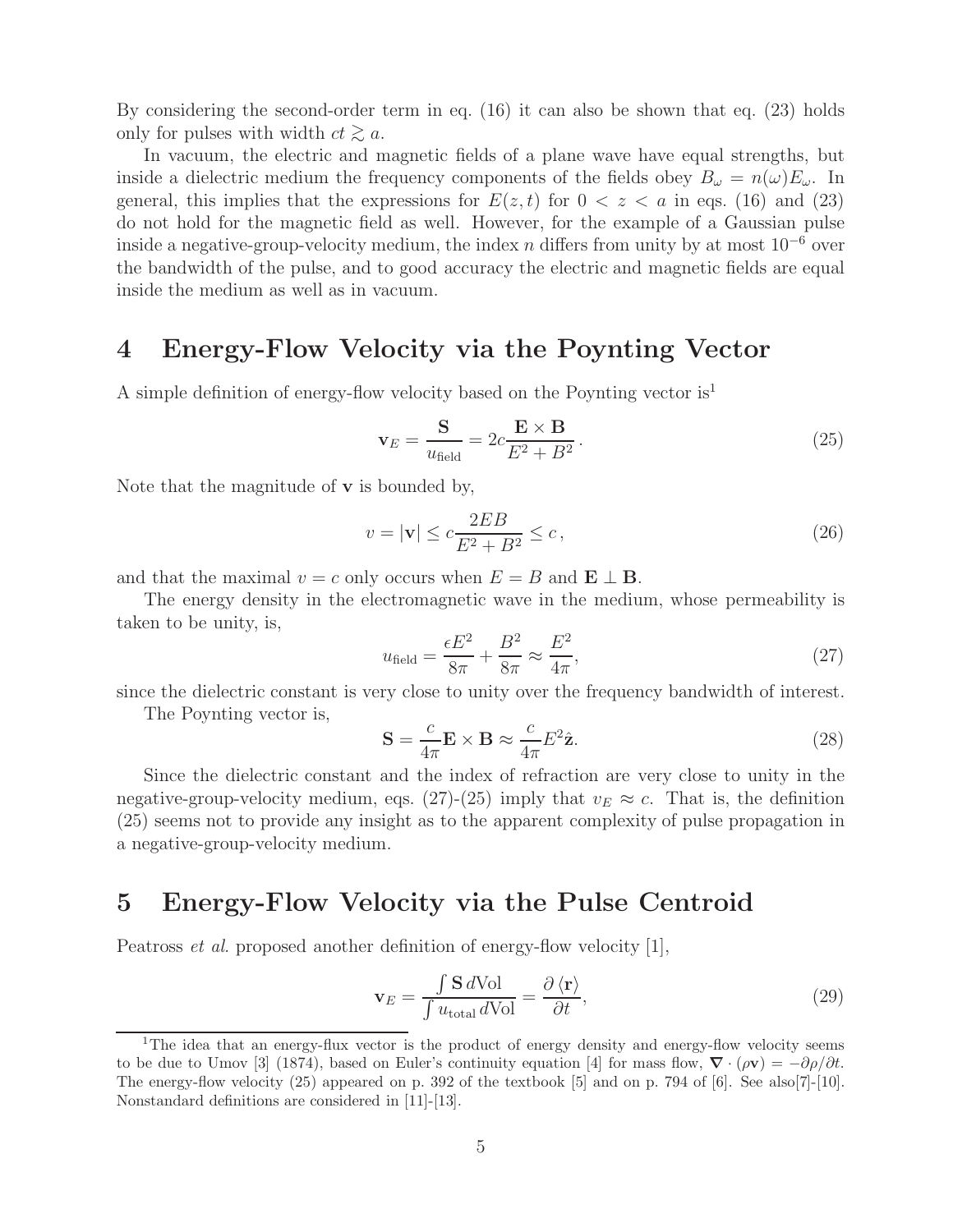By considering the second-order term in eq. (16) it can also be shown that eq. (23) holds only for pulses with width  $ct \gtrsim a$ .

In vacuum, the electric and magnetic fields of a plane wave have equal strengths, but inside a dielectric medium the frequency components of the fields obey  $B_{\omega} = n(\omega)E_{\omega}$ . In general, this implies that the expressions for  $E(z, t)$  for  $0 < z < a$  in eqs. (16) and (23) do not hold for the magnetic field as well. However, for the example of a Gaussian pulse inside a negative-group-velocity medium, the index n differs from unity by at most  $10^{-6}$  over the bandwidth of the pulse, and to good accuracy the electric and magnetic fields are equal inside the medium as well as in vacuum.

#### **4 Energy-Flow Velocity via the Poynting Vector**

A simple definition of energy-flow velocity based on the Poynting vector is<sup>1</sup>

$$
\mathbf{v}_E = \frac{\mathbf{S}}{u_{\text{field}}} = 2c \frac{\mathbf{E} \times \mathbf{B}}{E^2 + B^2}.
$$
 (25)

Note that the magnitude of **v** is bounded by,

$$
v = |\mathbf{v}| \le c \frac{2EB}{E^2 + B^2} \le c,
$$
\n
$$
(26)
$$

and that the maximal  $v = c$  only occurs when  $E = B$  and  $\mathbf{E} \perp \mathbf{B}$ .

The energy density in the electromagnetic wave in the medium, whose permeability is taken to be unity, is,

$$
u_{\text{field}} = \frac{\epsilon E^2}{8\pi} + \frac{B^2}{8\pi} \approx \frac{E^2}{4\pi},\tag{27}
$$

since the dielectric constant is very close to unity over the frequency bandwidth of interest.

The Poynting vector is,

$$
\mathbf{S} = \frac{c}{4\pi} \mathbf{E} \times \mathbf{B} \approx \frac{c}{4\pi} E^2 \hat{\mathbf{z}}.
$$
 (28)

Since the dielectric constant and the index of refraction are very close to unity in the negative-group-velocity medium, eqs. (27)-(25) imply that  $v_E \approx c$ . That is, the definition (25) seems not to provide any insight as to the apparent complexity of pulse propagation in a negative-group-velocity medium.

#### **5 Energy-Flow Velocity via the Pulse Centroid**

Peatross *et al.* proposed another definition of energy-flow velocity [1],

$$
\mathbf{v}_E = \frac{\int \mathbf{S} \, d\text{Vol}}{\int u_{\text{total}} \, d\text{Vol}} = \frac{\partial \, \langle \mathbf{r} \rangle}{\partial t},\tag{29}
$$

<sup>&</sup>lt;sup>1</sup>The idea that an energy-flux vector is the product of energy density and energy-flow velocity seems to be due to Umov [3] (1874), based on Euler's continuity equation [4] for mass flow,  $\nabla \cdot (\rho \mathbf{v}) = -\partial \rho / \partial t$ . The energy-flow velocity (25) appeared on p. 392 of the textbook [5] and on p. 794 of [6]. See also[7]-[10]. Nonstandard definitions are considered in [11]-[13].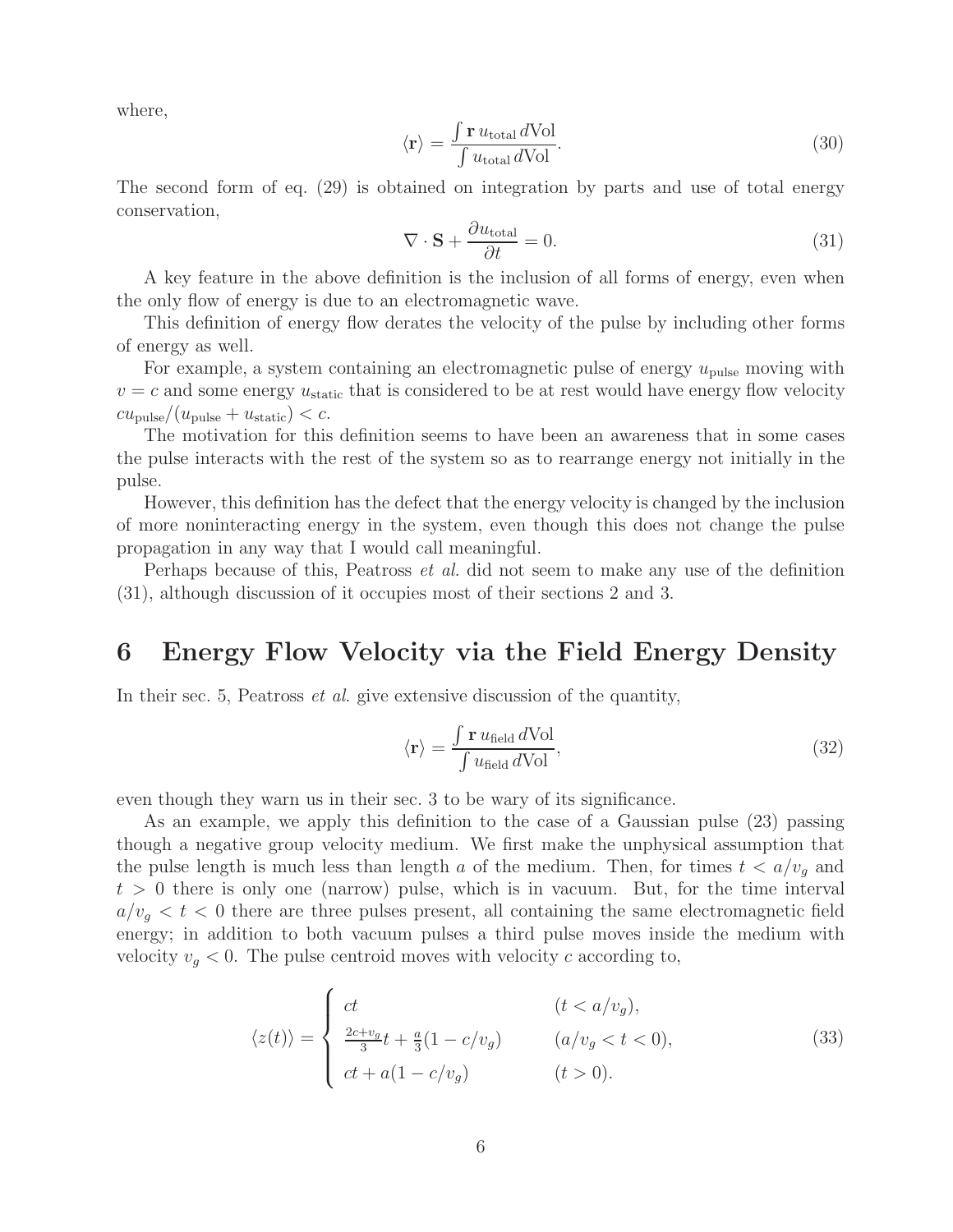where,

$$
\langle \mathbf{r} \rangle = \frac{\int \mathbf{r} \, u_{\text{total}} \, d\text{Vol}}{\int u_{\text{total}} \, d\text{Vol}}.\tag{30}
$$

The second form of eq. (29) is obtained on integration by parts and use of total energy conservation,

$$
\nabla \cdot \mathbf{S} + \frac{\partial u_{\text{total}}}{\partial t} = 0. \tag{31}
$$

A key feature in the above definition is the inclusion of all forms of energy, even when the only flow of energy is due to an electromagnetic wave.

This definition of energy flow derates the velocity of the pulse by including other forms of energy as well.

For example, a system containing an electromagnetic pulse of energy  $u_{\text{pulse}}$  moving with  $v = c$  and some energy  $u<sub>static</sub>$  that is considered to be at rest would have energy flow velocity  $cu_{\text{pulse}}/(u_{\text{pulse}} + u_{\text{static}}) < c.$ 

The motivation for this definition seems to have been an awareness that in some cases the pulse interacts with the rest of the system so as to rearrange energy not initially in the pulse.

However, this definition has the defect that the energy velocity is changed by the inclusion of more noninteracting energy in the system, even though this does not change the pulse propagation in any way that I would call meaningful.

Perhaps because of this, Peatross *et al.* did not seem to make any use of the definition (31), although discussion of it occupies most of their sections 2 and 3.

#### **6 Energy Flow Velocity via the Field Energy Density**

In their sec. 5, Peatross *et al.* give extensive discussion of the quantity,

$$
\langle \mathbf{r} \rangle = \frac{\int \mathbf{r} \, u_{\text{field}} \, d\text{Vol}}{\int u_{\text{field}} \, d\text{Vol}},\tag{32}
$$

even though they warn us in their sec. 3 to be wary of its significance.

As an example, we apply this definition to the case of a Gaussian pulse (23) passing though a negative group velocity medium. We first make the unphysical assumption that the pulse length is much less than length a of the medium. Then, for times  $t < a/v<sub>q</sub>$  and  $t > 0$  there is only one (narrow) pulse, which is in vacuum. But, for the time interval  $a/v_g < t < 0$  there are three pulses present, all containing the same electromagnetic field energy; in addition to both vacuum pulses a third pulse moves inside the medium with velocity  $v_q < 0$ . The pulse centroid moves with velocity c according to,

$$
\langle z(t) \rangle = \begin{cases} ct & (t < a/v_g), \\ \frac{2c + v_g}{3}t + \frac{a}{3}(1 - c/v_g) & (a/v_g < t < 0), \\ ct + a(1 - c/v_g) & (t > 0). \end{cases} \tag{33}
$$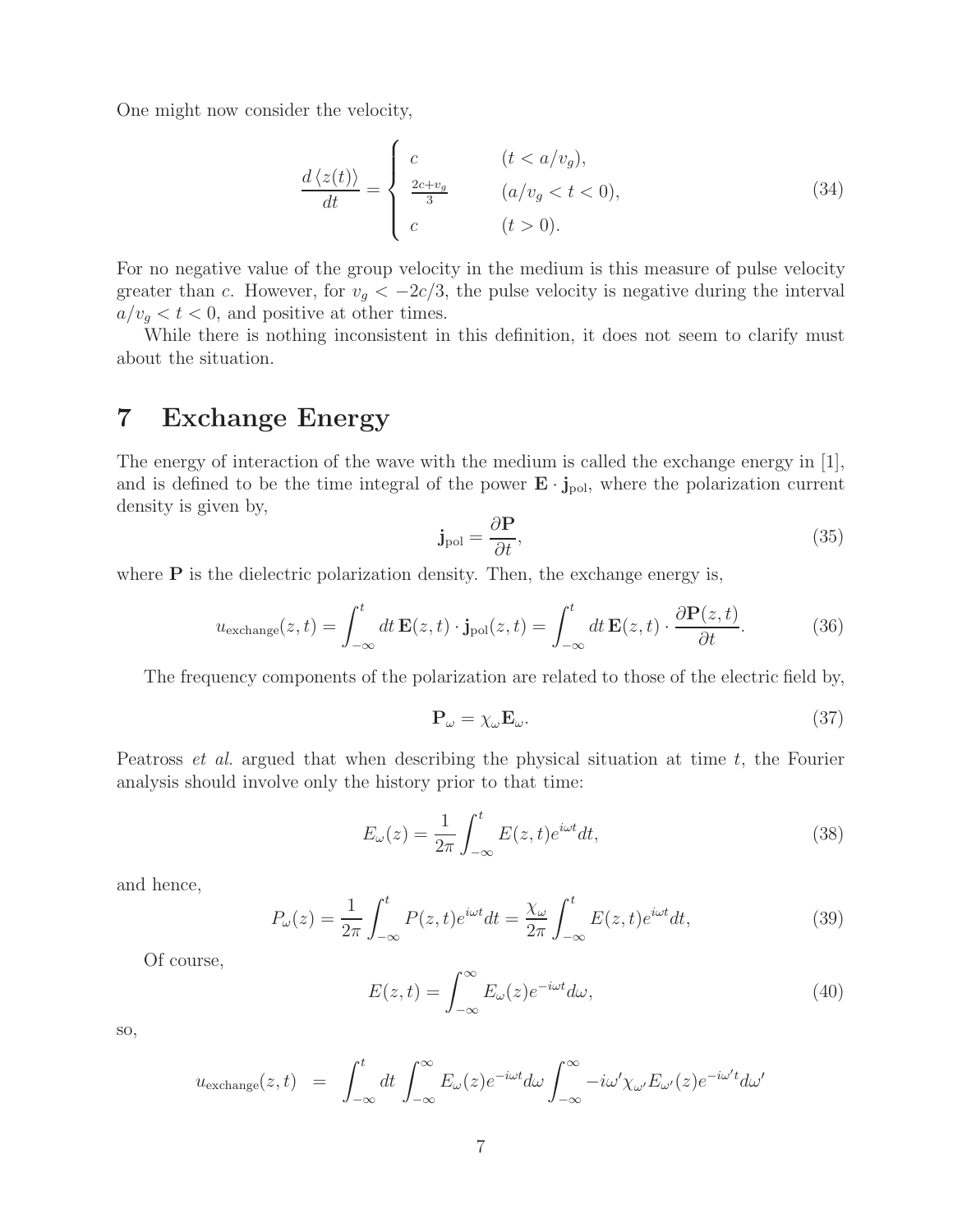One might now consider the velocity,

$$
\frac{d\langle z(t)\rangle}{dt} = \begin{cases}\nc & (t < a/v_g), \\
\frac{2c + v_g}{3} & (a/v_g < t < 0), \\
c & (t > 0).\n\end{cases}\n\tag{34}
$$

For no negative value of the group velocity in the medium is this measure of pulse velocity greater than c. However, for  $v_g < -2c/3$ , the pulse velocity is negative during the interval  $a/v_g < t < 0$ , and positive at other times.

While there is nothing inconsistent in this definition, it does not seem to clarify must about the situation.

## **7 Exchange Energy**

The energy of interaction of the wave with the medium is called the exchange energy in [1], and is defined to be the time integral of the power  $\mathbf{E} \cdot \mathbf{j}_{pol}$ , where the polarization current density is given by,

$$
\mathbf{j}_{\text{pol}} = \frac{\partial \mathbf{P}}{\partial t},\tag{35}
$$

where **P** is the dielectric polarization density. Then, the exchange energy is,

$$
u_{\text{exchange}}(z,t) = \int_{-\infty}^{t} dt \, \mathbf{E}(z,t) \cdot \mathbf{j}_{\text{pol}}(z,t) = \int_{-\infty}^{t} dt \, \mathbf{E}(z,t) \cdot \frac{\partial \mathbf{P}(z,t)}{\partial t}.
$$
 (36)

The frequency components of the polarization are related to those of the electric field by,

$$
\mathbf{P}_{\omega} = \chi_{\omega} \mathbf{E}_{\omega}.\tag{37}
$$

Peatross *et al.* argued that when describing the physical situation at time t, the Fourier analysis should involve only the history prior to that time:

$$
E_{\omega}(z) = \frac{1}{2\pi} \int_{-\infty}^{t} E(z, t)e^{i\omega t} dt,
$$
\n(38)

and hence,

$$
P_{\omega}(z) = \frac{1}{2\pi} \int_{-\infty}^{t} P(z, t) e^{i\omega t} dt = \frac{\chi_{\omega}}{2\pi} \int_{-\infty}^{t} E(z, t) e^{i\omega t} dt,
$$
\n(39)

Of course,

$$
E(z,t) = \int_{-\infty}^{\infty} E_{\omega}(z)e^{-i\omega t}d\omega,
$$
\n(40)

so,

$$
u_{\text{exchange}}(z,t) = \int_{-\infty}^{t} dt \int_{-\infty}^{\infty} E_{\omega}(z) e^{-i\omega t} d\omega \int_{-\infty}^{\infty} -i\omega' \chi_{\omega'} E_{\omega'}(z) e^{-i\omega' t} d\omega'
$$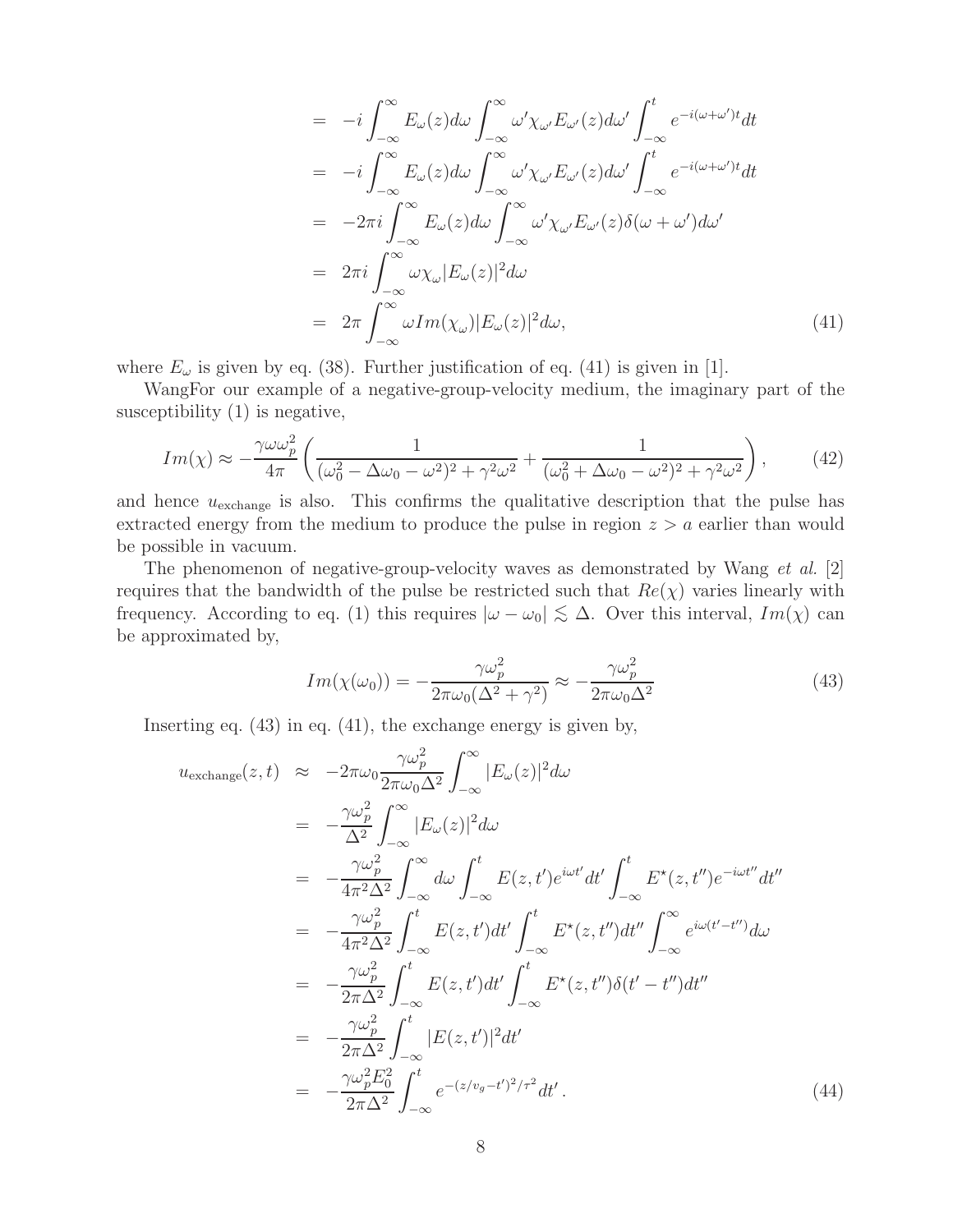$$
= -i \int_{-\infty}^{\infty} E_{\omega}(z) d\omega \int_{-\infty}^{\infty} \omega' \chi_{\omega'} E_{\omega'}(z) d\omega' \int_{-\infty}^{t} e^{-i(\omega + \omega')t} dt
$$
  
\n
$$
= -i \int_{-\infty}^{\infty} E_{\omega}(z) d\omega \int_{-\infty}^{\infty} \omega' \chi_{\omega'} E_{\omega'}(z) d\omega' \int_{-\infty}^{t} e^{-i(\omega + \omega')t} dt
$$
  
\n
$$
= -2\pi i \int_{-\infty}^{\infty} E_{\omega}(z) d\omega \int_{-\infty}^{\infty} \omega' \chi_{\omega'} E_{\omega'}(z) \delta(\omega + \omega') d\omega'
$$
  
\n
$$
= 2\pi i \int_{-\infty}^{\infty} \omega \chi_{\omega} |E_{\omega}(z)|^{2} d\omega
$$
  
\n
$$
= 2\pi \int_{-\infty}^{\infty} \omega Im(\chi_{\omega}) |E_{\omega}(z)|^{2} d\omega,
$$
 (41)

where  $E_{\omega}$  is given by eq. (38). Further justification of eq. (41) is given in [1].

WangFor our example of a negative-group-velocity medium, the imaginary part of the susceptibility (1) is negative,

$$
Im(\chi) \approx -\frac{\gamma \omega \omega_p^2}{4\pi} \left( \frac{1}{(\omega_0^2 - \Delta\omega_0 - \omega^2)^2 + \gamma^2 \omega^2} + \frac{1}{(\omega_0^2 + \Delta\omega_0 - \omega^2)^2 + \gamma^2 \omega^2} \right),\tag{42}
$$

and hence  $u_{\text{exchange}}$  is also. This confirms the qualitative description that the pulse has extracted energy from the medium to produce the pulse in region  $z > a$  earlier than would be possible in vacuum.

The phenomenon of negative-group-velocity waves as demonstrated by Wang *et al.* [2] requires that the bandwidth of the pulse be restricted such that  $Re(\chi)$  varies linearly with frequency. According to eq. (1) this requires  $|\omega - \omega_0| \lesssim \Delta$ . Over this interval,  $Im(\chi)$  can be approximated by,

$$
Im(\chi(\omega_0)) = -\frac{\gamma \omega_p^2}{2\pi \omega_0 (\Delta^2 + \gamma^2)} \approx -\frac{\gamma \omega_p^2}{2\pi \omega_0 \Delta^2}
$$
(43)

Inserting eq. (43) in eq. (41), the exchange energy is given by,

$$
u_{\text{exchange}}(z,t) \approx -2\pi\omega_0 \frac{\gamma \omega_p^2}{2\pi\omega_0 \Delta^2} \int_{-\infty}^{\infty} |E_{\omega}(z)|^2 d\omega
$$
  
\n
$$
= -\frac{\gamma \omega_p^2}{\Delta^2} \int_{-\infty}^{\infty} |E_{\omega}(z)|^2 d\omega
$$
  
\n
$$
= -\frac{\gamma \omega_p^2}{4\pi^2 \Delta^2} \int_{-\infty}^{\infty} d\omega \int_{-\infty}^t E(z,t') e^{i\omega t'} dt' \int_{-\infty}^t E^*(z,t'') e^{-i\omega t''} dt''
$$
  
\n
$$
= -\frac{\gamma \omega_p^2}{4\pi^2 \Delta^2} \int_{-\infty}^t E(z,t') dt' \int_{-\infty}^t E^*(z,t'') dt'' \int_{-\infty}^{\infty} e^{i\omega(t'-t'')} d\omega
$$
  
\n
$$
= -\frac{\gamma \omega_p^2}{2\pi \Delta^2} \int_{-\infty}^t E(z,t') dt' \int_{-\infty}^t E^*(z,t'') \delta(t'-t'') dt''
$$
  
\n
$$
= -\frac{\gamma \omega_p^2}{2\pi \Delta^2} \int_{-\infty}^t |E(z,t')|^2 dt'
$$
  
\n
$$
= -\frac{\gamma \omega_p^2 E_0^2}{2\pi \Delta^2} \int_{-\infty}^t e^{-(z/v_g - t')^2/\tau^2} dt'.
$$
 (44)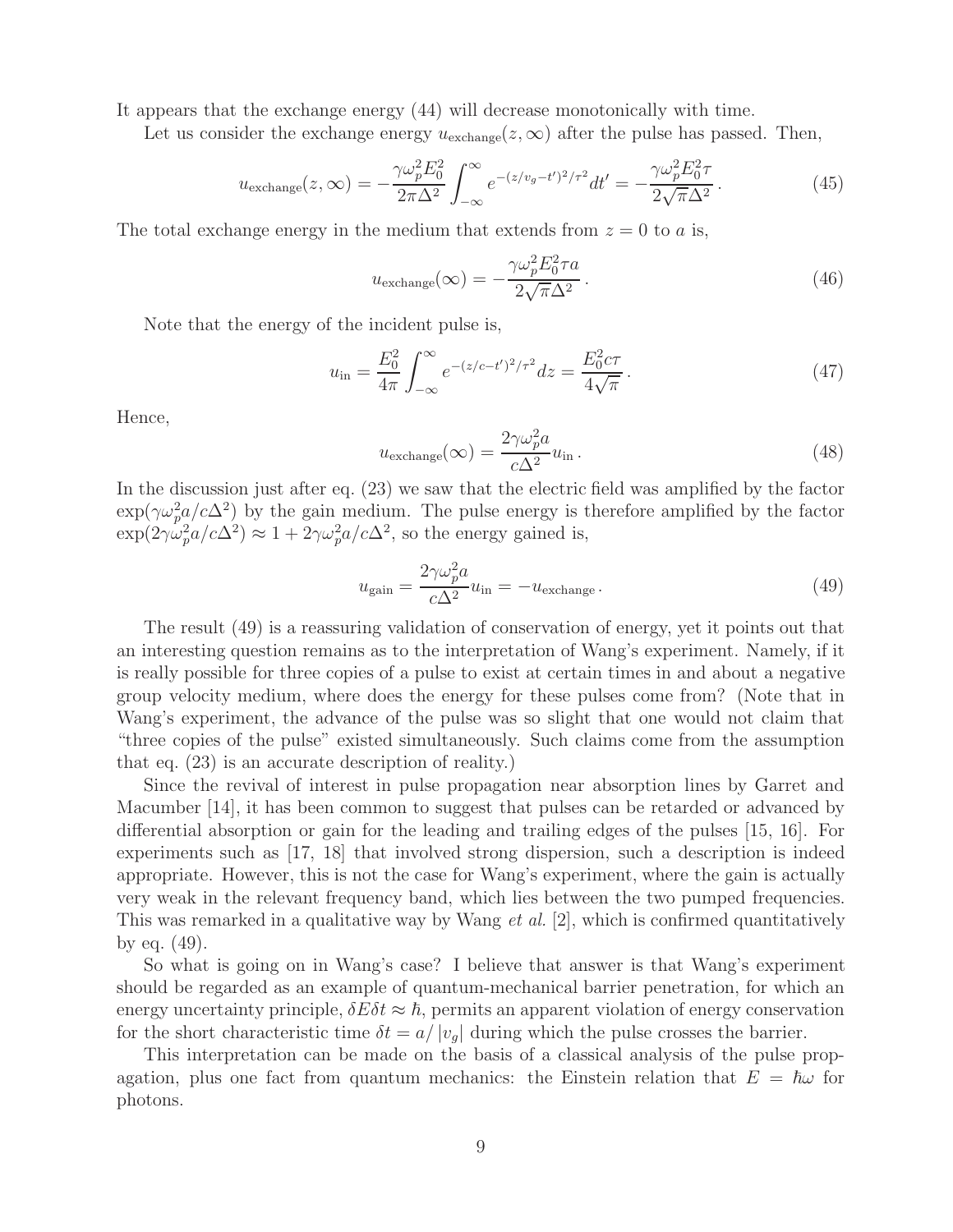It appears that the exchange energy (44) will decrease monotonically with time.

Let us consider the exchange energy  $u_{\text{exchange}}(z,\infty)$  after the pulse has passed. Then,

$$
u_{\text{exchange}}(z,\infty) = -\frac{\gamma \omega_p^2 E_0^2}{2\pi \Delta^2} \int_{-\infty}^{\infty} e^{-(z/v_g - t')^2/\tau^2} dt' = -\frac{\gamma \omega_p^2 E_0^2 \tau}{2\sqrt{\pi \Delta^2}}.
$$
 (45)

The total exchange energy in the medium that extends from  $z = 0$  to a is,

$$
u_{\text{exchange}}(\infty) = -\frac{\gamma \omega_p^2 E_0^2 \tau a}{2\sqrt{\pi} \Delta^2} \,. \tag{46}
$$

Note that the energy of the incident pulse is,

$$
u_{\rm in} = \frac{E_0^2}{4\pi} \int_{-\infty}^{\infty} e^{-(z/c - t')^2/\tau^2} dz = \frac{E_0^2 c \tau}{4\sqrt{\pi}}.
$$
 (47)

Hence,

$$
u_{\text{exchange}}(\infty) = \frac{2\gamma\omega_p^2 a}{c\Delta^2} u_{\text{in}}.
$$
\n(48)

In the discussion just after eq. (23) we saw that the electric field was amplified by the factor  $\exp(\gamma \omega_p^2 a/c\Delta^2)$  by the gain medium. The pulse energy is therefore amplified by the factor  $\exp(2\gamma \omega_p^2 a/c\Delta^2) \approx 1 + 2\gamma \omega_p^2 a/c\Delta^2$ , so the energy gained is,

$$
u_{\text{gain}} = \frac{2\gamma\omega_p^2 a}{c\Delta^2} u_{\text{in}} = -u_{\text{exchange}}.
$$
\n(49)

The result (49) is a reassuring validation of conservation of energy, yet it points out that an interesting question remains as to the interpretation of Wang's experiment. Namely, if it is really possible for three copies of a pulse to exist at certain times in and about a negative group velocity medium, where does the energy for these pulses come from? (Note that in Wang's experiment, the advance of the pulse was so slight that one would not claim that "three copies of the pulse" existed simultaneously. Such claims come from the assumption that eq. (23) is an accurate description of reality.)

Since the revival of interest in pulse propagation near absorption lines by Garret and Macumber [14], it has been common to suggest that pulses can be retarded or advanced by differential absorption or gain for the leading and trailing edges of the pulses [15, 16]. For experiments such as [17, 18] that involved strong dispersion, such a description is indeed appropriate. However, this is not the case for Wang's experiment, where the gain is actually very weak in the relevant frequency band, which lies between the two pumped frequencies. This was remarked in a qualitative way by Wang *et al.* [2], which is confirmed quantitatively by eq.  $(49)$ .

So what is going on in Wang's case? I believe that answer is that Wang's experiment should be regarded as an example of quantum-mechanical barrier penetration, for which an energy uncertainty principle,  $\delta E \delta t \approx \hbar$ , permits an apparent violation of energy conservation for the short characteristic time  $\delta t = a/|v_q|$  during which the pulse crosses the barrier.

This interpretation can be made on the basis of a classical analysis of the pulse propagation, plus one fact from quantum mechanics: the Einstein relation that  $E = \hbar \omega$  for photons.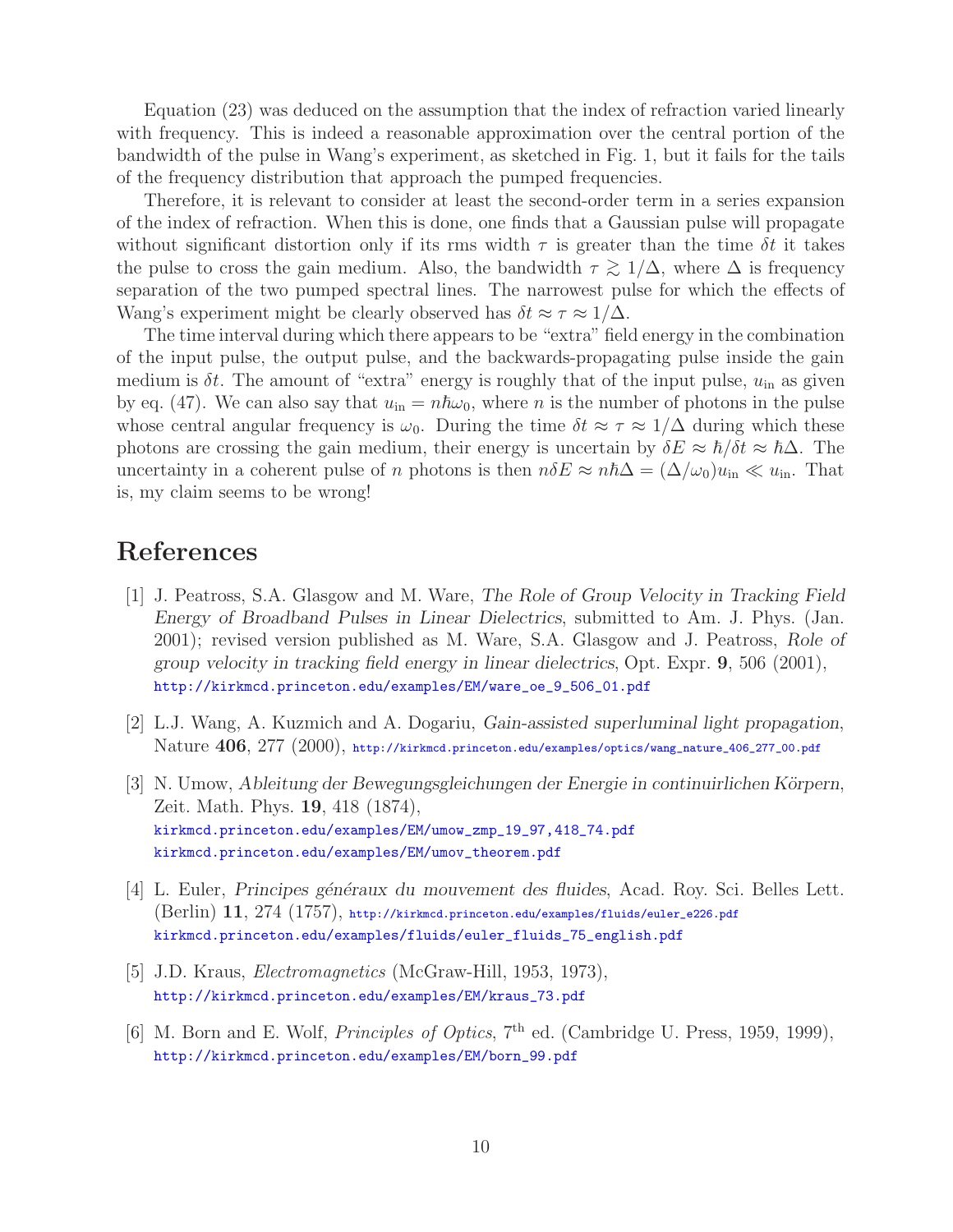Equation (23) was deduced on the assumption that the index of refraction varied linearly with frequency. This is indeed a reasonable approximation over the central portion of the bandwidth of the pulse in Wang's experiment, as sketched in Fig. 1, but it fails for the tails of the frequency distribution that approach the pumped frequencies.

Therefore, it is relevant to consider at least the second-order term in a series expansion of the index of refraction. When this is done, one finds that a Gaussian pulse will propagate without significant distortion only if its rms width  $\tau$  is greater than the time  $\delta t$  it takes the pulse to cross the gain medium. Also, the bandwidth  $\tau \gtrsim 1/\Delta$ , where  $\Delta$  is frequency separation of the two pumped spectral lines. The narrowest pulse for which the effects of Wang's experiment might be clearly observed has  $\delta t \approx \tau \approx 1/\Delta$ .

The time interval during which there appears to be "extra" field energy in the combination of the input pulse, the output pulse, and the backwards-propagating pulse inside the gain medium is  $\delta t$ . The amount of "extra" energy is roughly that of the input pulse,  $u_{\text{in}}$  as given by eq. (47). We can also say that  $u_{\text{in}} = n\hbar\omega_0$ , where *n* is the number of photons in the pulse whose central angular frequency is  $\omega_0$ . During the time  $\delta t \approx \tau \approx 1/\Delta$  during which these photons are crossing the gain medium, their energy is uncertain by  $\delta E \approx \hbar/\delta t \approx \hbar \Delta$ . The uncertainty in a coherent pulse of n photons is then  $n\delta E \approx n\hbar\Delta = (\Delta/\omega_0)u_{\rm in} \ll u_{\rm in}$ . That is, my claim seems to be wrong!

## **References**

- [1] J. Peatross, S.A. Glasgow and M. Ware, *The Role of Group Velocity in Tracking Field Energy of Broadband Pulses in Linear Dielectrics*, submitted to Am. J. Phys. (Jan. 2001); revised version published as M. Ware, S.A. Glasgow and J. Peatross, *Role of group velocity in tracking field energy in linear dielectrics*, Opt. Expr. **9**, 506 (2001), http://kirkmcd.princeton.edu/examples/EM/ware\_oe\_9\_506\_01.pdf
- [2] L.J. Wang, A. Kuzmich and A. Dogariu, *Gain-assisted superluminal light propagation*, Nature **406**, 277 (2000), http://kirkmcd.princeton.edu/examples/optics/wang\_nature\_406\_277\_00.pdf
- [3] N. Umow, *Ableitung der Bewegungsgleichungen der Energie in continuirlichen K¨orpern*, Zeit. Math. Phys. **19**, 418 (1874), kirkmcd.princeton.edu/examples/EM/umow\_zmp\_19\_97,418\_74.pdf kirkmcd.princeton.edu/examples/EM/umov\_theorem.pdf
- [4] L. Euler, *Principes g´en´eraux du mouvement des fluides*, Acad. Roy. Sci. Belles Lett. (Berlin) **11**, 274 (1757), http://kirkmcd.princeton.edu/examples/fluids/euler\_e226.pdf kirkmcd.princeton.edu/examples/fluids/euler\_fluids\_75\_english.pdf
- [5] J.D. Kraus, *Electromagnetics* (McGraw-Hill, 1953, 1973), http://kirkmcd.princeton.edu/examples/EM/kraus\_73.pdf
- [6] M. Born and E. Wolf, *Principles of Optics*, 7<sup>th</sup> ed. (Cambridge U. Press, 1959, 1999), http://kirkmcd.princeton.edu/examples/EM/born\_99.pdf